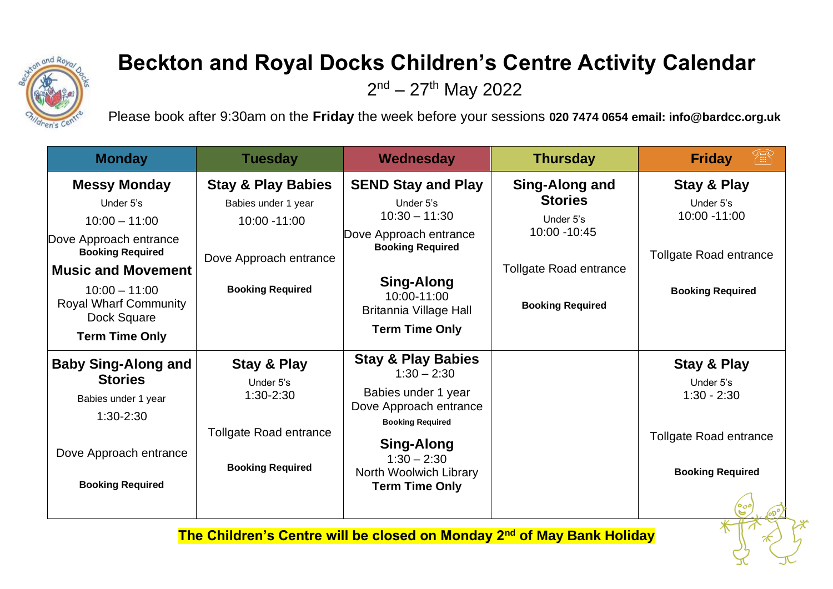

## **Beckton and Royal Docks Children's Centre Activity Calendar**

2<sup>nd</sup> – 27<sup>th</sup> May 2022

Please book after 9:30am on the **Friday** the week before your sessions **020 7474 0654 email: info@bardcc.org.uk**

| <b>Monday</b>                                                                                                                                                                                                                    | <b>Tuesday</b>                                                                                                            | Wednesday                                                                                                                                                                                                    | <b>Thursday</b>                                                                                                            | Æ<br><b>Friday</b>                                                                                           |
|----------------------------------------------------------------------------------------------------------------------------------------------------------------------------------------------------------------------------------|---------------------------------------------------------------------------------------------------------------------------|--------------------------------------------------------------------------------------------------------------------------------------------------------------------------------------------------------------|----------------------------------------------------------------------------------------------------------------------------|--------------------------------------------------------------------------------------------------------------|
| <b>Messy Monday</b><br>Under 5's<br>$10:00 - 11:00$<br>Dove Approach entrance<br><b>Booking Required</b><br><b>Music and Movement</b><br>$10:00 - 11:00$<br><b>Royal Wharf Community</b><br>Dock Square<br><b>Term Time Only</b> | <b>Stay &amp; Play Babies</b><br>Babies under 1 year<br>10:00 -11:00<br>Dove Approach entrance<br><b>Booking Required</b> | <b>SEND Stay and Play</b><br>Under 5's<br>$10:30 - 11:30$<br>Dove Approach entrance<br><b>Booking Required</b><br>Sing-Along<br>10:00-11:00<br>Britannia Village Hall<br><b>Term Time Only</b>               | Sing-Along and<br><b>Stories</b><br>Under 5's<br>10:00 - 10:45<br><b>Tollgate Road entrance</b><br><b>Booking Required</b> | Stay & Play<br>Under 5's<br>10:00 -11:00<br><b>Tollgate Road entrance</b><br><b>Booking Required</b>         |
| <b>Baby Sing-Along and</b><br><b>Stories</b><br>Babies under 1 year<br>$1:30-2:30$<br>Dove Approach entrance<br><b>Booking Required</b>                                                                                          | Stay & Play<br>Under 5's<br>$1:30-2:30$<br><b>Tollgate Road entrance</b><br><b>Booking Required</b>                       | <b>Stay &amp; Play Babies</b><br>$1:30 - 2:30$<br>Babies under 1 year<br>Dove Approach entrance<br><b>Booking Required</b><br>Sing-Along<br>$1:30 - 2:30$<br>North Woolwich Library<br><b>Term Time Only</b> |                                                                                                                            | Stay & Play<br>Under 5's<br>$1:30 - 2:30$<br><b>Tollgate Road entrance</b><br><b>Booking Required</b><br>ە00 |

**The Children's Centre will be closed on Monday 2nd of May Bank Holiday**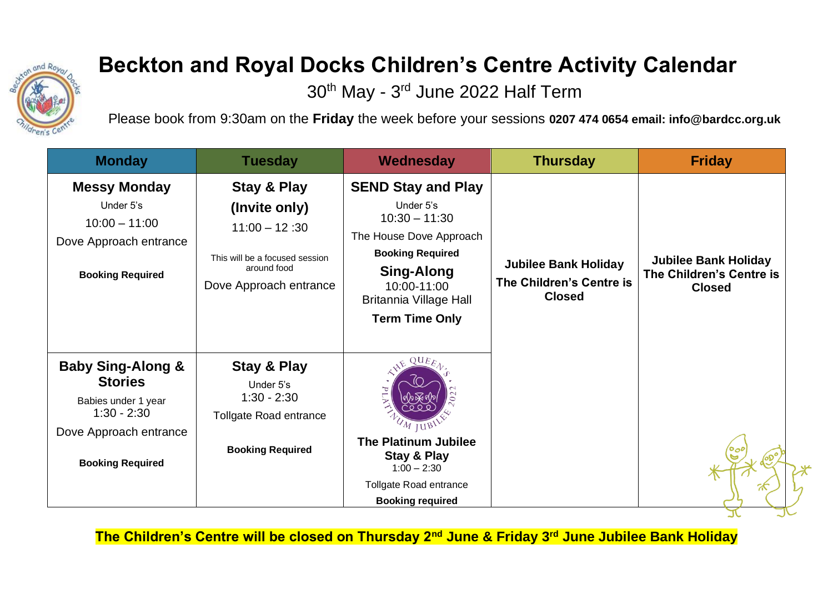

## **Beckton and Royal Docks Children's Centre Activity Calendar**

30<sup>th</sup> May - 3<sup>rd</sup> June 2022 Half Term

Please book from 9:30am on the **Friday** the week before your sessions **0207 474 0654 email: info@bardcc.org.uk**

| <b>Monday</b>                                                                                                                               | <b>Tuesday</b>                                                                                                             | Wednesday                                                                                                                                                                                              | <b>Thursday</b>                                                          | <b>Friday</b>                                                            |
|---------------------------------------------------------------------------------------------------------------------------------------------|----------------------------------------------------------------------------------------------------------------------------|--------------------------------------------------------------------------------------------------------------------------------------------------------------------------------------------------------|--------------------------------------------------------------------------|--------------------------------------------------------------------------|
| <b>Messy Monday</b><br>Under 5's<br>$10:00 - 11:00$<br>Dove Approach entrance<br><b>Booking Required</b>                                    | Stay & Play<br>(Invite only)<br>$11:00 - 12:30$<br>This will be a focused session<br>around food<br>Dove Approach entrance | <b>SEND Stay and Play</b><br>Under 5's<br>$10:30 - 11:30$<br>The House Dove Approach<br><b>Booking Required</b><br>Sing-Along<br>10:00-11:00<br><b>Britannia Village Hall</b><br><b>Term Time Only</b> | <b>Jubilee Bank Holiday</b><br>The Children's Centre is<br><b>Closed</b> | <b>Jubilee Bank Holiday</b><br>The Children's Centre is<br><b>Closed</b> |
| <b>Baby Sing-Along &amp;</b><br><b>Stories</b><br>Babies under 1 year<br>$1:30 - 2:30$<br>Dove Approach entrance<br><b>Booking Required</b> | <b>Stay &amp; Play</b><br>Under 5's<br>$1:30 - 2:30$<br><b>Tollgate Road entrance</b><br><b>Booking Required</b>           | $E$ QUEE<br>M JUBIL<br><b>The Platinum Jubilee</b><br>Stay & Play<br>$1:00 - 2:30$<br><b>Tollgate Road entrance</b><br><b>Booking required</b>                                                         |                                                                          |                                                                          |

**The Children's Centre will be closed on Thursday 2nd June & Friday 3rd June Jubilee Bank Holiday**